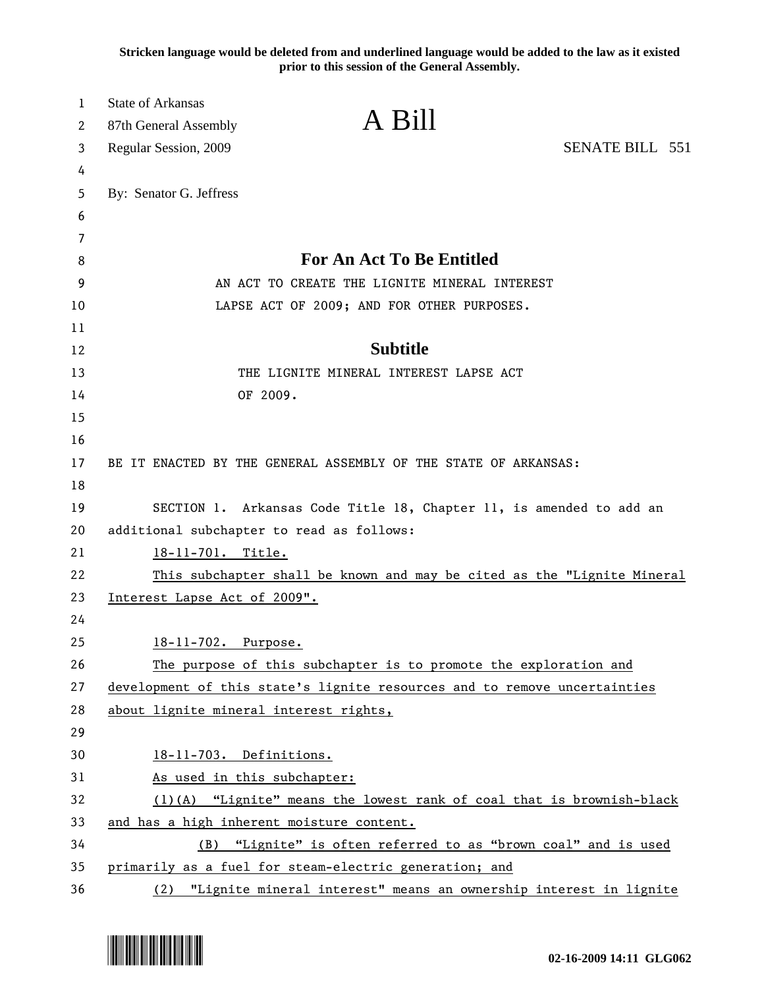**Stricken language would be deleted from and underlined language would be added to the law as it existed prior to this session of the General Assembly.**

| 1<br>2 | <b>State of Arkansas</b><br>87th General Assembly                         | A Bill                                        |                                                                         |
|--------|---------------------------------------------------------------------------|-----------------------------------------------|-------------------------------------------------------------------------|
| 3      | Regular Session, 2009                                                     |                                               | <b>SENATE BILL 551</b>                                                  |
| 4      |                                                                           |                                               |                                                                         |
| 5      | By: Senator G. Jeffress                                                   |                                               |                                                                         |
| 6      |                                                                           |                                               |                                                                         |
| 7      |                                                                           |                                               |                                                                         |
| 8      |                                                                           | <b>For An Act To Be Entitled</b>              |                                                                         |
| 9      |                                                                           | AN ACT TO CREATE THE LIGNITE MINERAL INTEREST |                                                                         |
| 10     |                                                                           | LAPSE ACT OF 2009; AND FOR OTHER PURPOSES.    |                                                                         |
| 11     |                                                                           |                                               |                                                                         |
| 12     |                                                                           | <b>Subtitle</b>                               |                                                                         |
| 13     |                                                                           | THE LIGNITE MINERAL INTEREST LAPSE ACT        |                                                                         |
| 14     | OF 2009.                                                                  |                                               |                                                                         |
| 15     |                                                                           |                                               |                                                                         |
| 16     |                                                                           |                                               |                                                                         |
| 17     | BE IT ENACTED BY THE GENERAL ASSEMBLY OF THE STATE OF ARKANSAS:           |                                               |                                                                         |
| 18     |                                                                           |                                               |                                                                         |
| 19     | SECTION 1. Arkansas Code Title 18, Chapter 11, is amended to add an       |                                               |                                                                         |
| 20     | additional subchapter to read as follows:                                 |                                               |                                                                         |
| 21     | 18-11-701. Title.                                                         |                                               |                                                                         |
| 22     |                                                                           |                                               | This subchapter shall be known and may be cited as the "Lignite Mineral |
| 23     | Interest Lapse Act of 2009".                                              |                                               |                                                                         |
| 24     |                                                                           |                                               |                                                                         |
| 25     | 18-11-702. Purpose.                                                       |                                               |                                                                         |
| 26     | The purpose of this subchapter is to promote the exploration and          |                                               |                                                                         |
| 27     | development of this state's lignite resources and to remove uncertainties |                                               |                                                                         |
| 28     | about lignite mineral interest rights,                                    |                                               |                                                                         |
| 29     |                                                                           |                                               |                                                                         |
| 30     | 18-11-703. Definitions.                                                   |                                               |                                                                         |
| 31     | As used in this subchapter:                                               |                                               |                                                                         |
| 32     |                                                                           |                                               | (1)(A) "Lignite" means the lowest rank of coal that is brownish-black   |
| 33     | and has a high inherent moisture content.                                 |                                               |                                                                         |
| 34     |                                                                           |                                               | (B) "Lignite" is often referred to as "brown coal" and is used          |
| 35     | primarily as a fuel for steam-electric generation; and                    |                                               |                                                                         |
| 36     |                                                                           |                                               | (2) "Lignite mineral interest" means an ownership interest in lignite   |

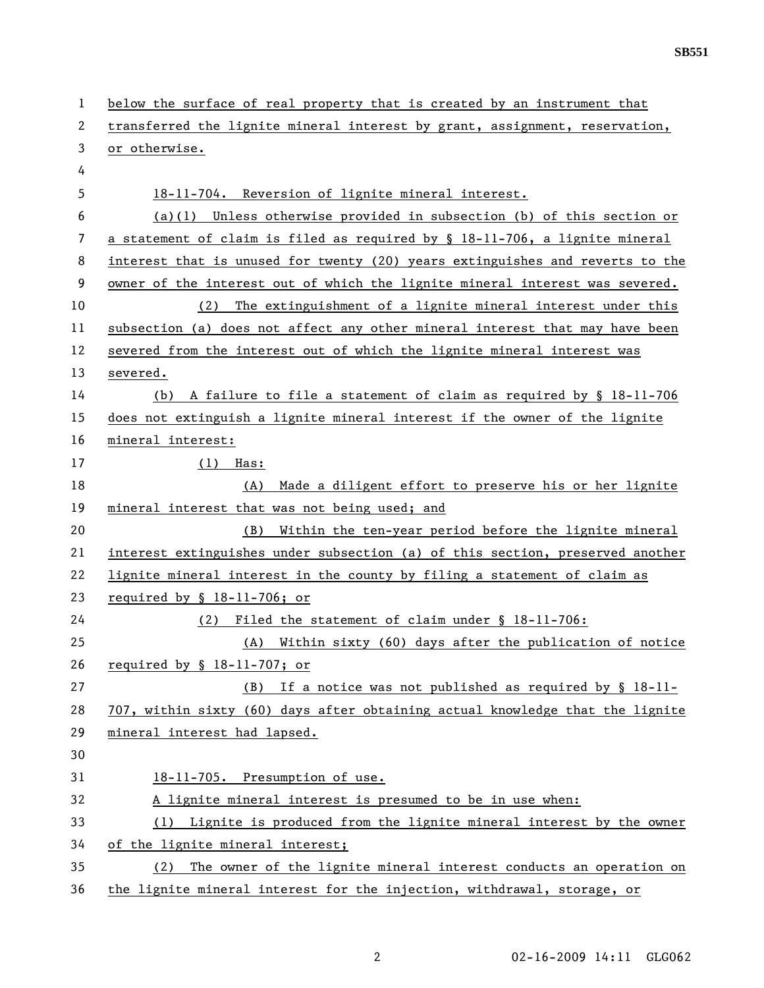| 1  | below the surface of real property that is created by an instrument that      |  |
|----|-------------------------------------------------------------------------------|--|
| 2  | transferred the lignite mineral interest by grant, assignment, reservation,   |  |
| 3  | or otherwise.                                                                 |  |
| 4  |                                                                               |  |
| 5  | 18-11-704. Reversion of lignite mineral interest.                             |  |
| 6  | $(a)(1)$ Unless otherwise provided in subsection (b) of this section or       |  |
| 7  | a statement of claim is filed as required by § 18-11-706, a lignite mineral   |  |
| 8  | interest that is unused for twenty (20) years extinguishes and reverts to the |  |
| 9  | owner of the interest out of which the lignite mineral interest was severed.  |  |
| 10 | The extinguishment of a lignite mineral interest under this<br>(2)            |  |
| 11 | subsection (a) does not affect any other mineral interest that may have been  |  |
| 12 | severed from the interest out of which the lignite mineral interest was       |  |
| 13 | severed.                                                                      |  |
| 14 | A failure to file a statement of claim as required by § 18-11-706<br>(b)      |  |
| 15 | does not extinguish a lignite mineral interest if the owner of the lignite    |  |
| 16 | mineral interest:                                                             |  |
| 17 | $(1)$ Has:                                                                    |  |
| 18 | Made a diligent effort to preserve his or her lignite<br>(A)                  |  |
| 19 | mineral interest that was not being used; and                                 |  |
| 20 | Within the ten-year period before the lignite mineral<br>(B)                  |  |
| 21 | interest extinguishes under subsection (a) of this section, preserved another |  |
| 22 | lignite mineral interest in the county by filing a statement of claim as      |  |
| 23 | required by $$18-11-706$ ; or                                                 |  |
| 24 | Filed the statement of claim under § 18-11-706:<br>(2)                        |  |
| 25 | (A) Within sixty (60) days after the publication of notice                    |  |
| 26 | required by $$18-11-707; or$                                                  |  |
| 27 | (B) If a notice was not published as required by $\S$ 18-11-                  |  |
| 28 | 707, within sixty (60) days after obtaining actual knowledge that the lignite |  |
| 29 | mineral interest had lapsed.                                                  |  |
| 30 |                                                                               |  |
| 31 | 18-11-705. Presumption of use.                                                |  |
| 32 | A lignite mineral interest is presumed to be in use when:                     |  |
| 33 | Lignite is produced from the lignite mineral interest by the owner<br>(1)     |  |
| 34 | of the lignite mineral interest;                                              |  |
| 35 | The owner of the lignite mineral interest conducts an operation on<br>(2)     |  |
| 36 | the lignite mineral interest for the injection, withdrawal, storage, or       |  |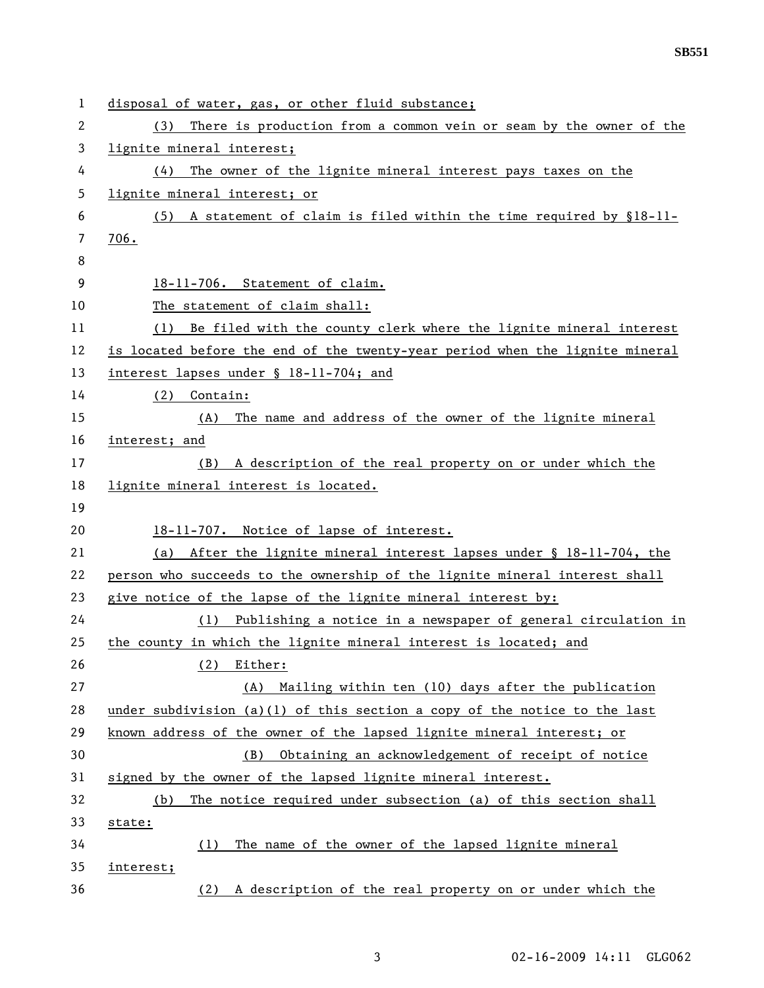| $\mathbf{1}$ | disposal of water, gas, or other fluid substance;                            |  |  |
|--------------|------------------------------------------------------------------------------|--|--|
| 2            | There is production from a common vein or seam by the owner of the<br>(3)    |  |  |
| 3            | lignite mineral interest;                                                    |  |  |
| 4            | The owner of the lignite mineral interest pays taxes on the<br>(4)           |  |  |
| 5            | lignite mineral interest; or                                                 |  |  |
| 6            | (5) A statement of claim is filed within the time required by $$18-11-$      |  |  |
| 7            | 706.                                                                         |  |  |
| 8            |                                                                              |  |  |
| 9            | 18-11-706. Statement of claim.                                               |  |  |
| 10           | The statement of claim shall:                                                |  |  |
| 11           | Be filed with the county clerk where the lignite mineral interest<br>(1)     |  |  |
| 12           | is located before the end of the twenty-year period when the lignite mineral |  |  |
| 13           | interest lapses under § 18-11-704; and                                       |  |  |
| 14           | Contain:<br>(2)                                                              |  |  |
| 15           | The name and address of the owner of the lignite mineral<br>(A)              |  |  |
| 16           | interest; and                                                                |  |  |
| 17           | A description of the real property on or under which the<br>(B)              |  |  |
| 18           | lignite mineral interest is located.                                         |  |  |
| 19           |                                                                              |  |  |
| 20           | 18-11-707. Notice of lapse of interest.                                      |  |  |
| 21           | After the lignite mineral interest lapses under § 18-11-704, the<br>(a)      |  |  |
| 22           | person who succeeds to the ownership of the lignite mineral interest shall   |  |  |
| 23           | give notice of the lapse of the lignite mineral interest by:                 |  |  |
| 24           | Publishing a notice in a newspaper of general circulation in<br>(1)          |  |  |
| 25           | the county in which the lignite mineral interest is located; and             |  |  |
| 26           | Either:<br>(2)                                                               |  |  |
| 27           | Mailing within ten (10) days after the publication<br>(A)                    |  |  |
| 28           | under subdivision (a)(1) of this section a copy of the notice to the last    |  |  |
| 29           | known address of the owner of the lapsed lignite mineral interest; or        |  |  |
| 30           | Obtaining an acknowledgement of receipt of notice<br>(B)                     |  |  |
| 31           | signed by the owner of the lapsed lignite mineral interest.                  |  |  |
| 32           | The notice required under subsection (a) of this section shall<br>(b)        |  |  |
| 33           | state:                                                                       |  |  |
| 34           | The name of the owner of the lapsed lignite mineral<br>(1)                   |  |  |
| 35           | interest;                                                                    |  |  |
| 36           | A description of the real property on or under which the<br>(2)              |  |  |